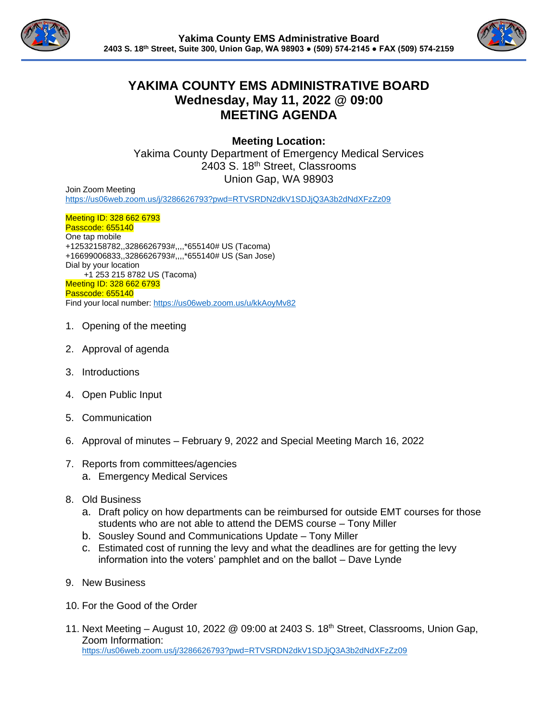



## **YAKIMA COUNTY EMS ADMINISTRATIVE BOARD Wednesday, May 11, 2022 @ 09:00 MEETING AGENDA**

**Meeting Location:**

Yakima County Department of Emergency Medical Services 2403 S. 18<sup>th</sup> Street, Classrooms Union Gap, WA 98903

Join Zoom Meeting <https://us06web.zoom.us/j/3286626793?pwd=RTVSRDN2dkV1SDJjQ3A3b2dNdXFzZz09>

Meeting ID: 328 662 6793 Passcode: 655140 One tap mobile +12532158782,,3286626793#,,,,\*655140# US (Tacoma) +16699006833,,3286626793#,,,,\*655140# US (San Jose) Dial by your location +1 253 215 8782 US (Tacoma) Meeting ID: 328 662 6793 Passcode: 655140 Find your local number[: https://us06web.zoom.us/u/kkAoyMv82](https://us06web.zoom.us/u/kkAoyMv82)

- 1. Opening of the meeting
- 2. Approval of agenda
- 3. Introductions
- 4. Open Public Input
- 5. Communication
- 6. Approval of minutes February 9, 2022 and Special Meeting March 16, 2022
- 7. Reports from committees/agencies a. Emergency Medical Services
- 8. Old Business
	- a. Draft policy on how departments can be reimbursed for outside EMT courses for those students who are not able to attend the DEMS course – Tony Miller
	- b. Sousley Sound and Communications Update Tony Miller
	- c. Estimated cost of running the levy and what the deadlines are for getting the levy information into the voters' pamphlet and on the ballot – Dave Lynde
- 9. New Business
- 10. For the Good of the Order
- 11. Next Meeting August 10, 2022  $\oslash$  09:00 at 2403 S. 18<sup>th</sup> Street, Classrooms, Union Gap, Zoom Information: <https://us06web.zoom.us/j/3286626793?pwd=RTVSRDN2dkV1SDJjQ3A3b2dNdXFzZz09>